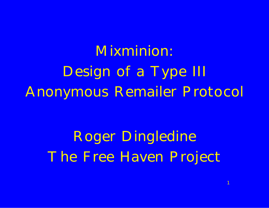Mixminion: Design of a Type III Anonymous Remailer Protocol

Roger Dingledine The Free Haven Project

1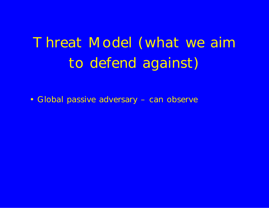# Threat Model (what we aim to defend against)

• Global spassive adversary – can observe everythingdversary of the non-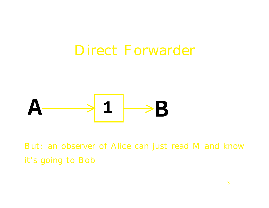## Direct Forwarder

# **A <sup>1</sup> B**

But: an observer of Alice can just read M and know it's going to Bob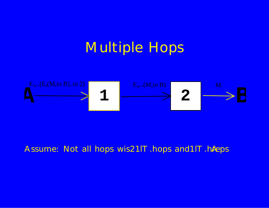## Multiple Hops



#### Assume: Not all hops wis21IT.hops and 1IT.happts Howouw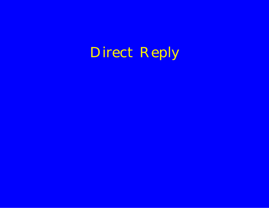# Direct Reply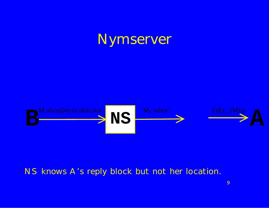## Nymserver



#### NS knows A's reply block but not her location.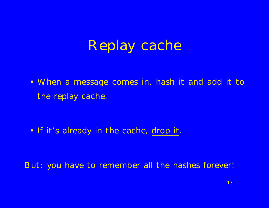## Replay cache

*•* When a message comes in, hash it and add it to the replay cache.

• If it's already in the cache, drop it.

But: you have to remember all the hashes forever!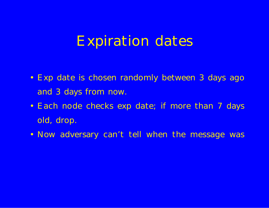#### Expiration dates

- *•* Exp date is chosen randomly between 3 days ago and 3 days from now.
- *•* Each node checks exp date; if more than 7 days old, drop.
- *•* Now adversary can't tell when the message was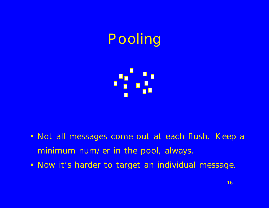



- *•* Not all messages come out at each flush. Keep a minimum num/er in the pool, always.
- *•* Now it's harder to target an individual message.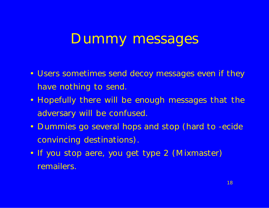#### Dummy messages

- *•* Users sometimes send decoy messages even if they have nothing to send.
- *•* Hopefully there will be enough messages that the adversary will be confused.
- *•* Dummies go several hops and stop (hard to -ecide convincing destinations).
- *•* If you stop aere, you get type 2 (Mixmaster) remailers.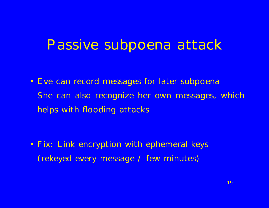#### Passive subpoena attack

*•* Eve can record messages for later subpoena She can also recognize her own messages, which helps with flooding attacks

*•* Fix: Link encryption with ephemeral keys (rekeyed every message / few minutes)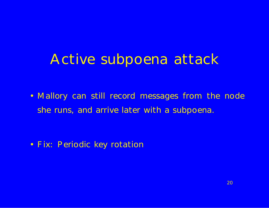## Active subpoena attack

*•* Mallory can still record messages from the node she runs, and arrive later with a subpoena.

*•* Fix: Periodic key rotation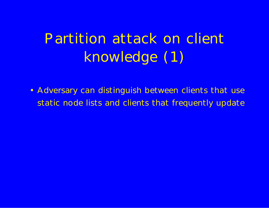# Partition attack on client knowledge (1)

*•* Adversary can distinguish between clients that use static node lists and clients that frequently update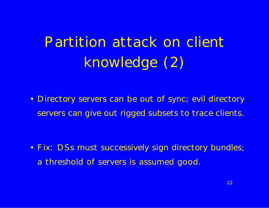# Partition attack on client knowledge (2)

*•* Directory servers can be out of sync; evil directory servers can give out rigged subsets to trace clients.

*•* Fix: DSs must successively sign directory bundles; a threshold of servers is assumed good.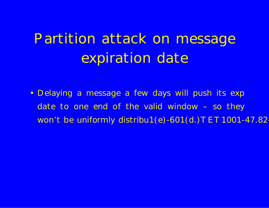## Partition attack on message expiration date

*•* Delaying a message a few days will push its exp date to one end of the valid window – so they won't be uniformly distribu1(e)-601(d.)TET1001-47.82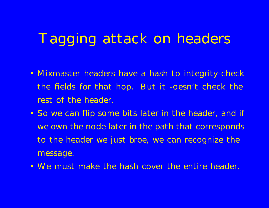## Tagging attack on headers

- *•* Mixmaster headers have a hash to integrity-check the fields for that hop. But it -oesn't check the rest of the header.
- *•* So we can flip some bits later in the header, and if we own the node later in the path that corresponds to the header we just broe, we can recognize the message.
- *•* We must make the hash cover the entire header.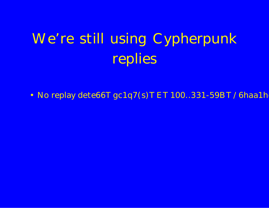# We're still using Cypherpunk replies

• NoNceptayad edo 6T gc1q7(s) TET100..331-59BT/6haa1h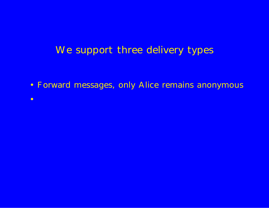#### We support three delivery types

- *•* Forward messages, only Alice remains anonymous
- *•*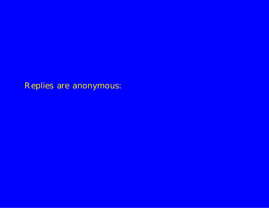Replies are anonymous: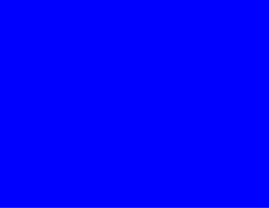**Weerks that we manded work and single-use higher light libraries** to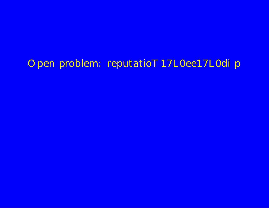#### Open problem: reputatioT17L0ee17L0di p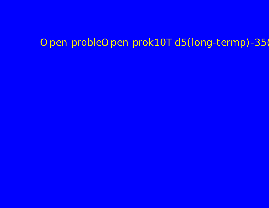#### Open probleOpen prok10Td5(long-termp)-35